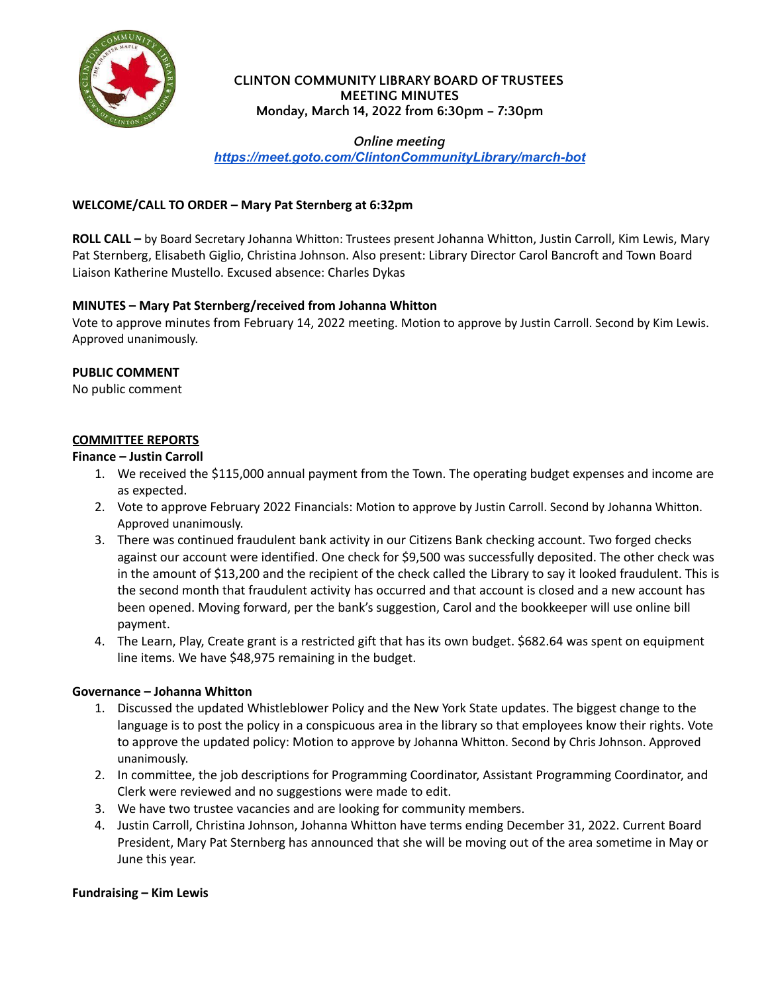

### **CLINTON COMMUNITY LIBRARY BOARD OF TRUSTEES MEETING MINUTES Monday, March 14, 2022 from 6:30pm – 7:30pm**

# *Online meeting*

*<https://meet.goto.com/ClintonCommunityLibrary/march-bot>*

## **WELCOME/CALL TO ORDER – Mary Pat Sternberg at 6:32pm**

**ROLL CALL –** by Board Secretary Johanna Whitton: Trustees present Johanna Whitton, Justin Carroll, Kim Lewis, Mary Pat Sternberg, Elisabeth Giglio, Christina Johnson. Also present: Library Director Carol Bancroft and Town Board Liaison Katherine Mustello. Excused absence: Charles Dykas

# **MINUTES – Mary Pat Sternberg/received from Johanna Whitton**

Vote to approve minutes from February 14, 2022 meeting. Motion to approve by Justin Carroll. Second by Kim Lewis. Approved unanimously.

### **PUBLIC COMMENT**

No public comment

### **COMMITTEE REPORTS**

#### **Finance – Justin Carroll**

- 1. We received the \$115,000 annual payment from the Town. The operating budget expenses and income are as expected.
- 2. Vote to approve February 2022 Financials: Motion to approve by Justin Carroll. Second by Johanna Whitton. Approved unanimously.
- 3. There was continued fraudulent bank activity in our Citizens Bank checking account. Two forged checks against our account were identified. One check for \$9,500 was successfully deposited. The other check was in the amount of \$13,200 and the recipient of the check called the Library to say it looked fraudulent. This is the second month that fraudulent activity has occurred and that account is closed and a new account has been opened. Moving forward, per the bank's suggestion, Carol and the bookkeeper will use online bill payment.
- 4. The Learn, Play, Create grant is a restricted gift that has its own budget. \$682.64 was spent on equipment line items. We have \$48,975 remaining in the budget.

#### **Governance – Johanna Whitton**

- 1. Discussed the updated Whistleblower Policy and the New York State updates. The biggest change to the language is to post the policy in a conspicuous area in the library so that employees know their rights. Vote to approve the updated policy: Motion to approve by Johanna Whitton. Second by Chris Johnson. Approved unanimously.
- 2. In committee, the job descriptions for Programming Coordinator, Assistant Programming Coordinator, and Clerk were reviewed and no suggestions were made to edit.
- 3. We have two trustee vacancies and are looking for community members.
- 4. Justin Carroll, Christina Johnson, Johanna Whitton have terms ending December 31, 2022. Current Board President, Mary Pat Sternberg has announced that she will be moving out of the area sometime in May or June this year.

#### **Fundraising – Kim Lewis**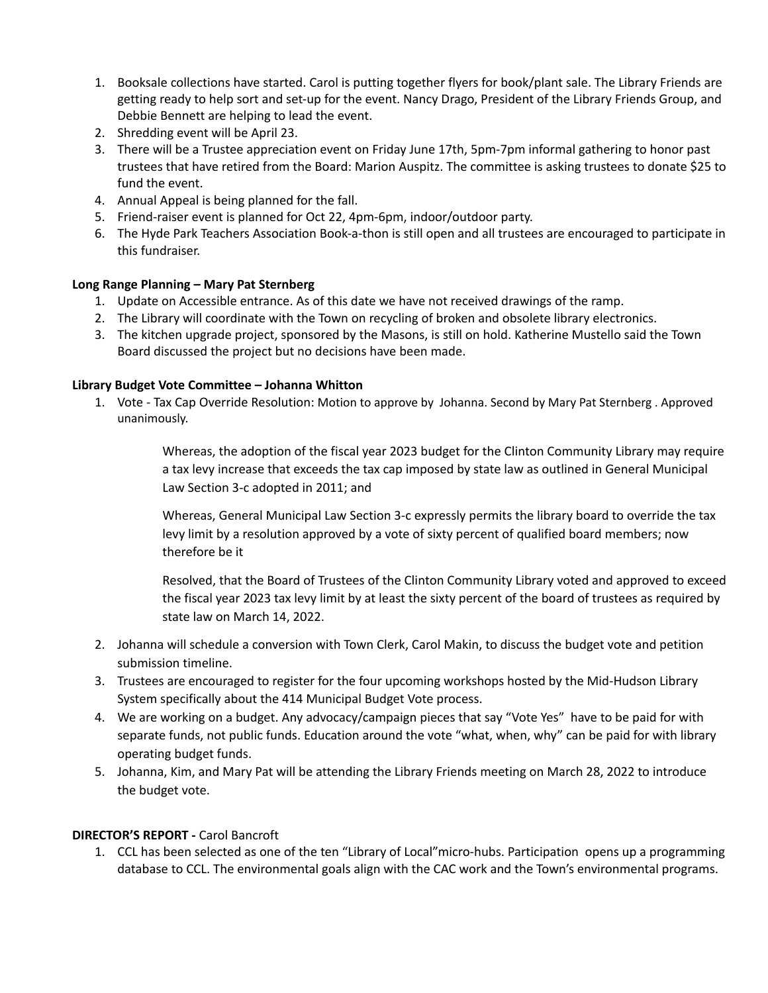- 1. Booksale collections have started. Carol is putting together flyers for book/plant sale. The Library Friends are getting ready to help sort and set-up for the event. Nancy Drago, President of the Library Friends Group, and Debbie Bennett are helping to lead the event.
- 2. Shredding event will be April 23.
- 3. There will be a Trustee appreciation event on Friday June 17th, 5pm-7pm informal gathering to honor past trustees that have retired from the Board: Marion Auspitz. The committee is asking trustees to donate \$25 to fund the event.
- 4. Annual Appeal is being planned for the fall.
- 5. Friend-raiser event is planned for Oct 22, 4pm-6pm, indoor/outdoor party.
- 6. The Hyde Park Teachers Association Book-a-thon is still open and all trustees are encouraged to participate in this fundraiser.

### **Long Range Planning – Mary Pat Sternberg**

- 1. Update on Accessible entrance. As of this date we have not received drawings of the ramp.
- 2. The Library will coordinate with the Town on recycling of broken and obsolete library electronics.
- 3. The kitchen upgrade project, sponsored by the Masons, is still on hold. Katherine Mustello said the Town Board discussed the project but no decisions have been made.

### **Library Budget Vote Committee – Johanna Whitton**

1. Vote - Tax Cap Override Resolution: Motion to approve by Johanna. Second by Mary Pat Sternberg . Approved unanimously.

> Whereas, the adoption of the fiscal year 2023 budget for the Clinton Community Library may require a tax levy increase that exceeds the tax cap imposed by state law as outlined in General Municipal Law Section 3‐c adopted in 2011; and

Whereas, General Municipal Law Section 3‐c expressly permits the library board to override the tax levy limit by a resolution approved by a vote of sixty percent of qualified board members; now therefore be it

Resolved, that the Board of Trustees of the Clinton Community Library voted and approved to exceed the fiscal year 2023 tax levy limit by at least the sixty percent of the board of trustees as required by state law on March 14, 2022.

- 2. Johanna will schedule a conversion with Town Clerk, Carol Makin, to discuss the budget vote and petition submission timeline.
- 3. Trustees are encouraged to register for the four upcoming workshops hosted by the Mid-Hudson Library System specifically about the 414 Municipal Budget Vote process.
- 4. We are working on a budget. Any advocacy/campaign pieces that say "Vote Yes" have to be paid for with separate funds, not public funds. Education around the vote "what, when, why" can be paid for with library operating budget funds.
- 5. Johanna, Kim, and Mary Pat will be attending the Library Friends meeting on March 28, 2022 to introduce the budget vote.

# **DIRECTOR'S REPORT -** Carol Bancroft

1. CCL has been selected as one of the ten "Library of Local"micro-hubs. Participation opens up a programming database to CCL. The environmental goals align with the CAC work and the Town's environmental programs.